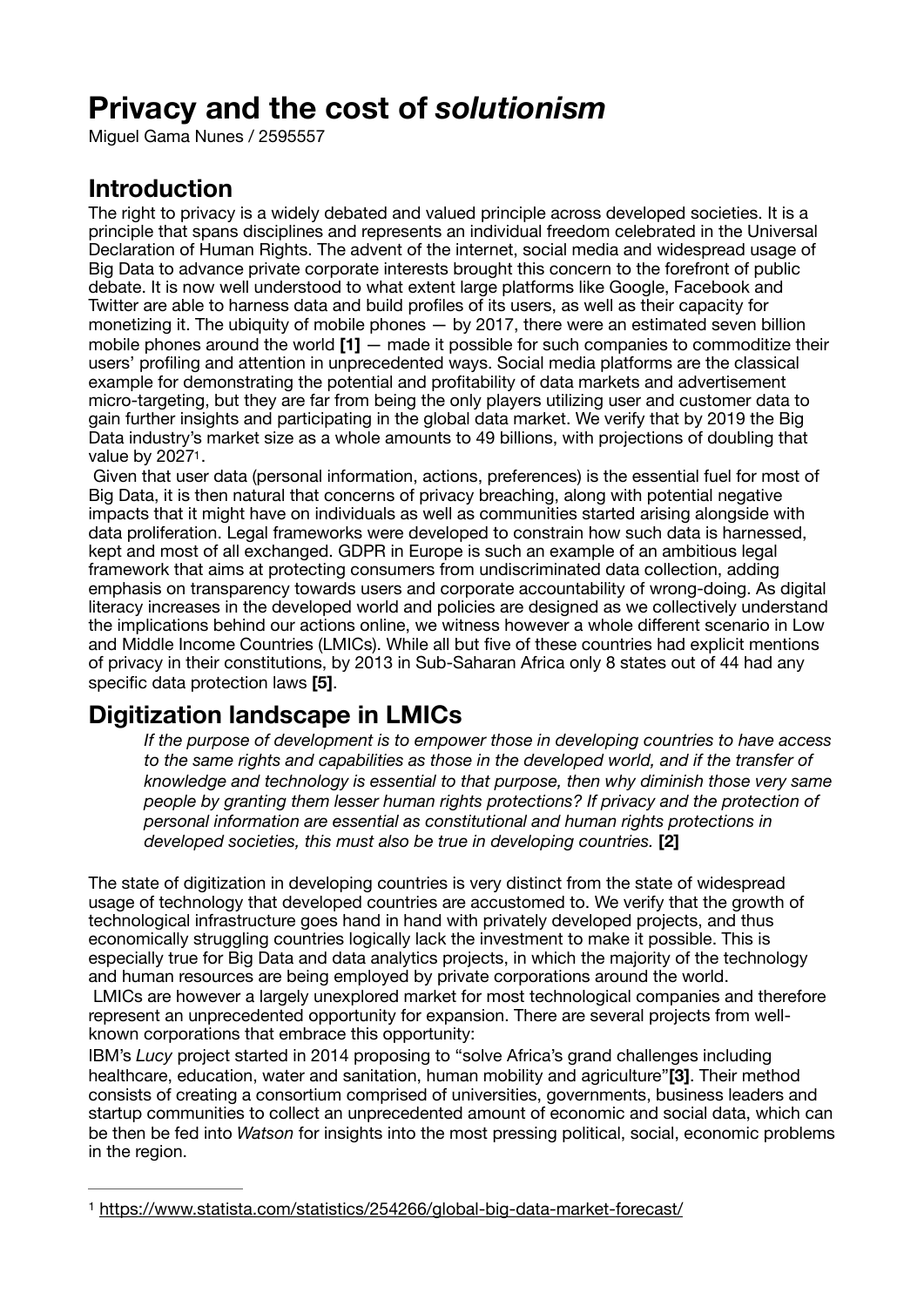# **Privacy and the cost of** *solutionism*

Miguel Gama Nunes / 2595557

## **Introduction**

The right to privacy is a widely debated and valued principle across developed societies. It is a principle that spans disciplines and represents an individual freedom celebrated in the Universal Declaration of Human Rights. The advent of the internet, social media and widespread usage of Big Data to advance private corporate interests brought this concern to the forefront of public debate. It is now well understood to what extent large platforms like Google, Facebook and Twitter are able to harness data and build profiles of its users, as well as their capacity for monetizing it. The ubiquity of mobile phones — by 2017, there were an estimated seven billion mobile phones around the world **[1]** — made it possible for such companies to commoditize their users' profiling and attention in unprecedented ways. Social media platforms are the classical example for demonstrating the potential and profitability of data markets and advertisement micro-targeting, but they are far from being the only players utilizing user and customer data to gain further insights and participating in the global data market. We verify that by 2019 the Big Data industry's market size as a whole amounts to 49 billions, with projections of doubling that value by 202[71](#page-0-0).

<span id="page-0-1"></span> Given that user data (personal information, actions, preferences) is the essential fuel for most of Big Data, it is then natural that concerns of privacy breaching, along with potential negative impacts that it might have on individuals as well as communities started arising alongside with data proliferation. Legal frameworks were developed to constrain how such data is harnessed, kept and most of all exchanged. GDPR in Europe is such an example of an ambitious legal framework that aims at protecting consumers from undiscriminated data collection, adding emphasis on transparency towards users and corporate accountability of wrong-doing. As digital literacy increases in the developed world and policies are designed as we collectively understand the implications behind our actions online, we witness however a whole different scenario in Low and Middle Income Countries (LMICs). While all but five of these countries had explicit mentions of privacy in their constitutions, by 2013 in Sub-Saharan Africa only 8 states out of 44 had any specific data protection laws **[5]**.

# **Digitization landscape in LMICs**

*If the purpose of development is to empower those in developing countries to have access to the same rights and capabilities as those in the developed world, and if the transfer of knowledge and technology is essential to that purpose, then why diminish those very same people by granting them lesser human rights protections? If privacy and the protection of personal information are essential as constitutional and human rights protections in developed societies, this must also be true in developing countries.* **[2]** 

The state of digitization in developing countries is very distinct from the state of widespread usage of technology that developed countries are accustomed to. We verify that the growth of technological infrastructure goes hand in hand with privately developed projects, and thus economically struggling countries logically lack the investment to make it possible. This is especially true for Big Data and data analytics projects, in which the majority of the technology and human resources are being employed by private corporations around the world. LMICs are however a largely unexplored market for most technological companies and therefore represent an unprecedented opportunity for expansion. There are several projects from wellknown corporations that embrace this opportunity:

IBM's *Lucy* project started in 2014 proposing to "solve Africa's grand challenges including healthcare, education, water and sanitation, human mobility and agriculture"**[3]**. Their method consists of creating a consortium comprised of universities, governments, business leaders and startup communities to collect an unprecedented amount of economic and social data, which can be then be fed into *Watson* for insights into the most pressing political, social, economic problems in the region.

<span id="page-0-0"></span><https://www.statista.com/statistics/254266/global-big-data-market-forecast/> [1](#page-0-1)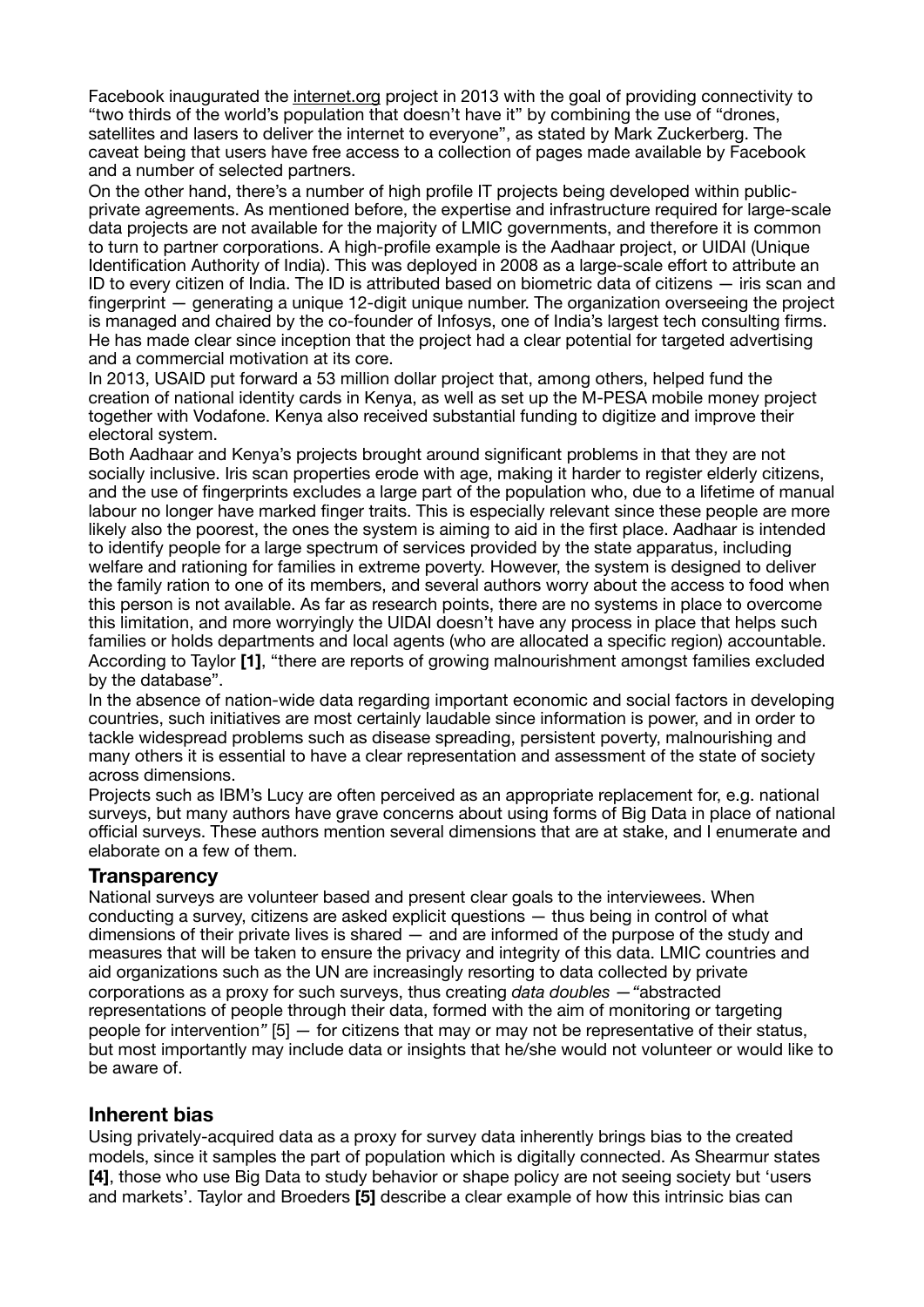Facebook inaugurated the [internet.org](http://internet.org) project in 2013 with the goal of providing connectivity to "two thirds of the world's population that doesn't have it" by combining the use of "drones, satellites and lasers to deliver the internet to everyone", as stated by Mark Zuckerberg. The caveat being that users have free access to a collection of pages made available by Facebook and a number of selected partners.

On the other hand, there's a number of high profile IT projects being developed within publicprivate agreements. As mentioned before, the expertise and infrastructure required for large-scale data projects are not available for the majority of LMIC governments, and therefore it is common to turn to partner corporations. A high-profile example is the Aadhaar project, or UIDAI (Unique Identification Authority of India). This was deployed in 2008 as a large-scale effort to attribute an ID to every citizen of India. The ID is attributed based on biometric data of citizens — iris scan and fingerprint — generating a unique 12-digit unique number. The organization overseeing the project is managed and chaired by the co-founder of Infosys, one of India's largest tech consulting firms. He has made clear since inception that the project had a clear potential for targeted advertising and a commercial motivation at its core.

In 2013, USAID put forward a 53 million dollar project that, among others, helped fund the creation of national identity cards in Kenya, as well as set up the M-PESA mobile money project together with Vodafone. Kenya also received substantial funding to digitize and improve their electoral system.

Both Aadhaar and Kenya's projects brought around significant problems in that they are not socially inclusive. Iris scan properties erode with age, making it harder to register elderly citizens, and the use of fingerprints excludes a large part of the population who, due to a lifetime of manual labour no longer have marked finger traits. This is especially relevant since these people are more likely also the poorest, the ones the system is aiming to aid in the first place. Aadhaar is intended to identify people for a large spectrum of services provided by the state apparatus, including welfare and rationing for families in extreme poverty. However, the system is designed to deliver the family ration to one of its members, and several authors worry about the access to food when this person is not available. As far as research points, there are no systems in place to overcome this limitation, and more worryingly the UIDAI doesn't have any process in place that helps such families or holds departments and local agents (who are allocated a specific region) accountable. According to Taylor **[1]**, "there are reports of growing malnourishment amongst families excluded by the database".

In the absence of nation-wide data regarding important economic and social factors in developing countries, such initiatives are most certainly laudable since information is power, and in order to tackle widespread problems such as disease spreading, persistent poverty, malnourishing and many others it is essential to have a clear representation and assessment of the state of society across dimensions.

Projects such as IBM's Lucy are often perceived as an appropriate replacement for, e.g. national surveys, but many authors have grave concerns about using forms of Big Data in place of national official surveys. These authors mention several dimensions that are at stake, and I enumerate and elaborate on a few of them.

#### **Transparency**

National surveys are volunteer based and present clear goals to the interviewees. When conducting a survey, citizens are asked explicit questions — thus being in control of what dimensions of their private lives is shared — and are informed of the purpose of the study and measures that will be taken to ensure the privacy and integrity of this data. LMIC countries and aid organizations such as the UN are increasingly resorting to data collected by private corporations as a proxy for such surveys, thus creating *data doubles —"*abstracted representations of people through their data, formed with the aim of monitoring or targeting people for intervention*"* [5] *—* for citizens that may or may not be representative of their status, but most importantly may include data or insights that he/she would not volunteer or would like to be aware of.

#### **Inherent bias**

Using privately-acquired data as a proxy for survey data inherently brings bias to the created models, since it samples the part of population which is digitally connected. As Shearmur states **[4]**, those who use Big Data to study behavior or shape policy are not seeing society but 'users and markets'. Taylor and Broeders **[5]** describe a clear example of how this intrinsic bias can